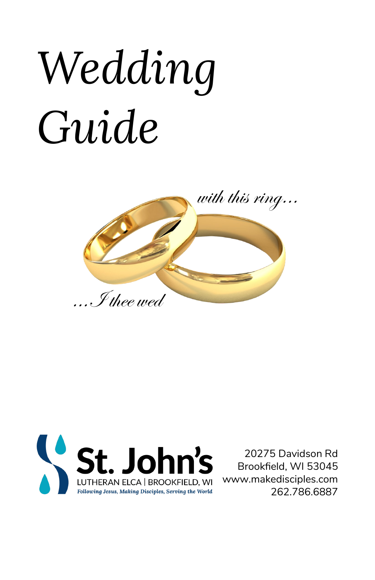# *Wedding Guide*





20275 Davidson Rd Brookfield, WI 53045 www.makedisciples.com 262.786.6887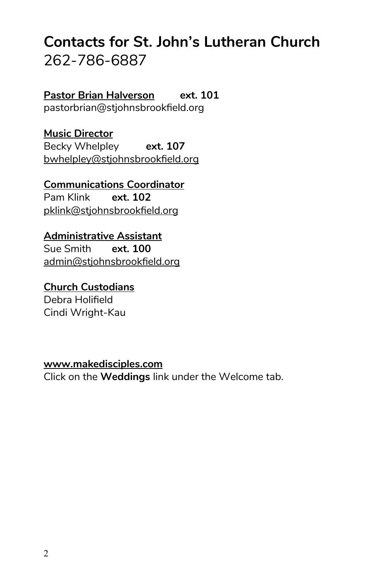## **Contacts for St. John's Lutheran Church** 262-786-6887

**Pastor Brian Halverson ext. 101** pastorbrian@stjohnsbrookfield.org

**Music Director** Becky Whelpley **ext. 107** bwhelpley@stjohnsbrookfield.org

**Communications Coordinator** Pam Klink **ext. 102** pklink@stjohnsbrookfield.org

**Administrative Assistant** Sue Smith **ext. 100**

admin@stjohnsbrookfield.org

**Church Custodians** Debra Holifield Cindi Wright-Kau

**www.makedisciples.com** Click on the **Weddings** link under the Welcome tab.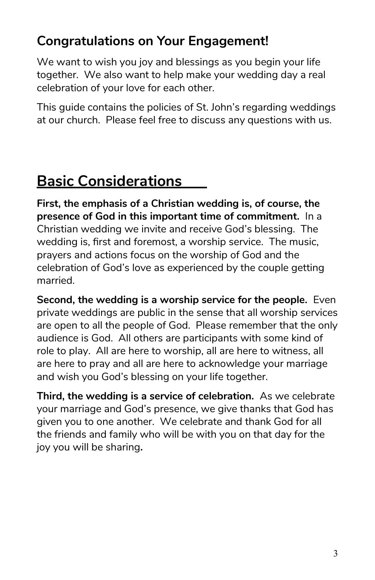## **Congratulations on Your Engagement!**

We want to wish you joy and blessings as you begin your life together. We also want to help make your wedding day a real celebration of your love for each other.

This guide contains the policies of St. John's regarding weddings at our church. Please feel free to discuss any questions with us.

# **Basic Considerations**

**First, the emphasis of a Christian wedding is, of course, the presence of God in this important time of commitment.** In a Christian wedding we invite and receive God's blessing. The wedding is, first and foremost, a worship service. The music, prayers and actions focus on the worship of God and the celebration of God's love as experienced by the couple getting married.

**Second, the wedding is a worship service for the people.** Even private weddings are public in the sense that all worship services are open to all the people of God. Please remember that the only audience is God. All others are participants with some kind of role to play. All are here to worship, all are here to witness, all are here to pray and all are here to acknowledge your marriage and wish you God's blessing on your life together.

**Third, the wedding is a service of celebration.** As we celebrate your marriage and God's presence, we give thanks that God has given you to one another. We celebrate and thank God for all the friends and family who will be with you on that day for the joy you will be sharing**.**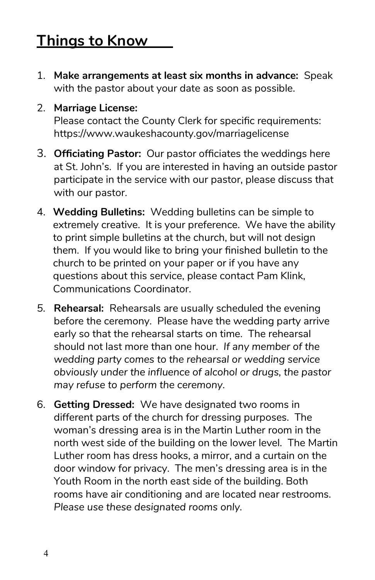# **Things to Know**

- 1. **Make arrangements at least six months in advance:** Speak with the pastor about your date as soon as possible.
- 2. **Marriage License:**

Please contact the County Clerk for specific requirements: https://www.waukeshacounty.gov/marriagelicense

- 3. **Officiating Pastor:** Our pastor officiates the weddings here at St. John's. If you are interested in having an outside pastor participate in the service with our pastor, please discuss that with our pastor.
- 4. **Wedding Bulletins:** Wedding bulletins can be simple to extremely creative. It is your preference. We have the ability to print simple bulletins at the church, but will not design them. If you would like to bring your finished bulletin to the church to be printed on your paper or if you have any questions about this service, please contact Pam Klink, Communications Coordinator.
- *5.* **Rehearsal:** Rehearsals are usually scheduled the evening before the ceremony. Please have the wedding party arrive early so that the rehearsal starts on time. The rehearsal should not last more than one hour. *If any member of the wedding party comes to the rehearsal or wedding service obviously under the influence of alcohol or drugs, the pastor may refuse to perform the ceremony.*
- 6. **Getting Dressed:** We have designated two rooms in different parts of the church for dressing purposes. The woman's dressing area is in the Martin Luther room in the north west side of the building on the lower level. The Martin Luther room has dress hooks, a mirror, and a curtain on the door window for privacy. The men's dressing area is in the Youth Room in the north east side of the building. Both rooms have air conditioning and are located near restrooms. *Please use these designated rooms only.*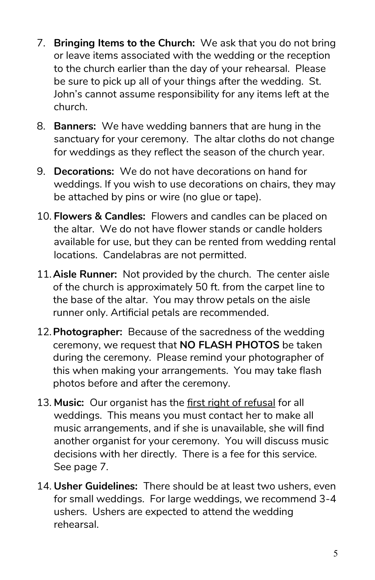- 7. **Bringing Items to the Church:** We ask that you do not bring or leave items associated with the wedding or the reception to the church earlier than the day of your rehearsal. Please be sure to pick up all of your things after the wedding. St. John's cannot assume responsibility for any items left at the church.
- 8. **Banners:** We have wedding banners that are hung in the sanctuary for your ceremony. The altar cloths do not change for weddings as they reflect the season of the church year.
- 9. **Decorations:** We do not have decorations on hand for weddings. If you wish to use decorations on chairs, they may be attached by pins or wire (no glue or tape).
- 10. **Flowers & Candles:** Flowers and candles can be placed on the altar. We do not have flower stands or candle holders available for use, but they can be rented from wedding rental locations. Candelabras are not permitted.
- 11.**Aisle Runner:** Not provided by the church. The center aisle of the church is approximately 50 ft. from the carpet line to the base of the altar. You may throw petals on the aisle runner only. Artificial petals are recommended.
- 12.**Photographer:** Because of the sacredness of the wedding ceremony, we request that **NO FLASH PHOTOS** be taken during the ceremony. Please remind your photographer of this when making your arrangements. You may take flash photos before and after the ceremony.
- 13. **Music:** Our organist has the first right of refusal for all weddings. This means you must contact her to make all music arrangements, and if she is unavailable, she will find another organist for your ceremony. You will discuss music decisions with her directly. There is a fee for this service. See page 7.
- 14. **Usher Guidelines:** There should be at least two ushers, even for small weddings. For large weddings, we recommend 3-4 ushers. Ushers are expected to attend the wedding rehearsal.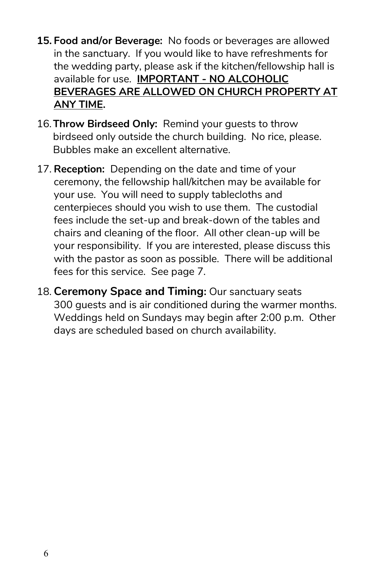- **15. Food and/or Beverage:** No foods or beverages are allowed in the sanctuary. If you would like to have refreshments for the wedding party, please ask if the kitchen/fellowship hall is available for use. **IMPORTANT - NO ALCOHOLIC BEVERAGES ARE ALLOWED ON CHURCH PROPERTY AT ANY TIME.**
- 16.**Throw Birdseed Only:** Remind your guests to throw birdseed only outside the church building. No rice, please. Bubbles make an excellent alternative.
- 17. **Reception:** Depending on the date and time of your ceremony, the fellowship hall/kitchen may be available for your use. You will need to supply tablecloths and centerpieces should you wish to use them. The custodial fees include the set-up and break-down of the tables and chairs and cleaning of the floor. All other clean-up will be your responsibility. If you are interested, please discuss this with the pastor as soon as possible. There will be additional fees for this service. See page 7.
- 18. **Ceremony Space and Timing:** Our sanctuary seats 300 guests and is air conditioned during the warmer months. Weddings held on Sundays may begin after 2:00 p.m. Other days are scheduled based on church availability.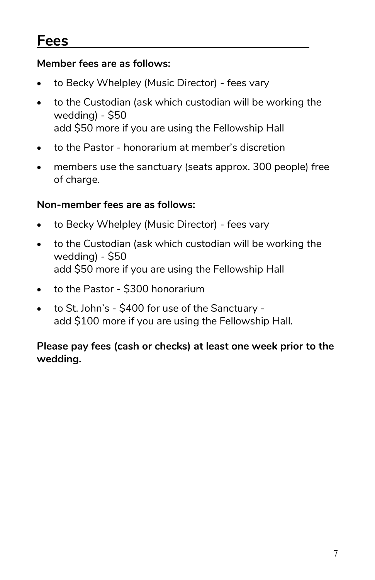## **Fees**

### **Member fees are as follows:**

- to Becky Whelpley (Music Director) fees vary
- to the Custodian (ask which custodian will be working the wedding) - \$50 add \$50 more if you are using the Fellowship Hall
- to the Pastor honorarium at member's discretion
- members use the sanctuary (seats approx. 300 people) free of charge.

#### **Non-member fees are as follows:**

- to Becky Whelpley (Music Director) fees vary
- to the Custodian (ask which custodian will be working the wedding) - \$50 add \$50 more if you are using the Fellowship Hall
- to the Pastor \$300 honorarium
- to St. John's \$400 for use of the Sanctuary add \$100 more if you are using the Fellowship Hall.

### **Please pay fees (cash or checks) at least one week prior to the wedding.**